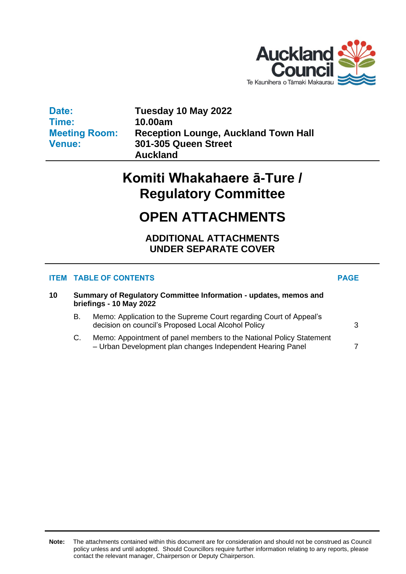

**Date: Time: Meeting Room: Venue:**

**Tuesday 10 May 2022 10.00am Reception Lounge, Auckland Town Hall 301-305 Queen Street Auckland**

# **Komiti Whakahaere ā-Ture / Regulatory Committee**

## **OPEN ATTACHMENTS**

**ADDITIONAL ATTACHMENTS UNDER SEPARATE COVER**

### **ITEM TABLE OF CONTENTS PAGE**

| 10 | Summary of Regulatory Committee Information - updates, memos and<br>briefings - 10 May 2022 |                                                                                                                                   |   |  |
|----|---------------------------------------------------------------------------------------------|-----------------------------------------------------------------------------------------------------------------------------------|---|--|
|    | В.                                                                                          | Memo: Application to the Supreme Court regarding Court of Appeal's<br>decision on council's Proposed Local Alcohol Policy         | 3 |  |
|    | C.                                                                                          | Memo: Appointment of panel members to the National Policy Statement<br>- Urban Development plan changes Independent Hearing Panel |   |  |

**Note:** The attachments contained within this document are for consideration and should not be construed as Council policy unless and until adopted. Should Councillors require further information relating to any reports, please contact the relevant manager, Chairperson or Deputy Chairperson.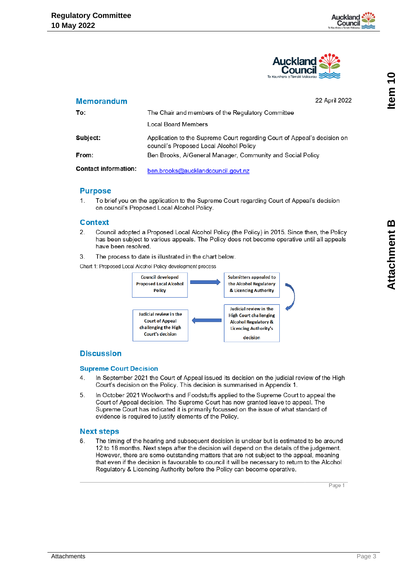



#### <span id="page-2-0"></span>**Memorandum**

22 April 2022

| To:                         | The Chair and members of the Regulatory Committee                                                                   |
|-----------------------------|---------------------------------------------------------------------------------------------------------------------|
|                             | Local Board Members                                                                                                 |
| Subject:                    | Application to the Supreme Court regarding Court of Appeal's decision on<br>council's Proposed Local Alcohol Policy |
| From:                       | Ben Brooks, A/General Manager, Community and Social Policy                                                          |
| <b>Contact information:</b> | ben.brooks@aucklandcouncil.govt.nz                                                                                  |

#### **Purpose**

To brief you on the application to the Supreme Court regarding Court of Appeal's decision 1 on council's Proposed Local Alcohol Policy.

#### **Context**

- 2. Council adopted a Proposed Local Alcohol Policy (the Policy) in 2015. Since then, the Policy has been subject to various appeals. The Policy does not become operative until all appeals have been resolved.
- The process to date is illustrated in the chart below. 3.

Chart 1: Proposed Local Alcohol Policy development process



#### **Discussion**

#### **Supreme Court Decision**

- In September 2021 the Court of Appeal issued its decision on the judicial review of the High  $\overline{4}$ Court's decision on the Policy. This decision is summarised in Appendix 1.
- 5. In October 2021 Woolworths and Foodstuffs applied to the Supreme Court to appeal the Court of Appeal decision. The Supreme Court has now granted leave to appeal. The Supreme Court has indicated it is primarily focussed on the issue of what standard of evidence is required to justify elements of the Policy.

#### **Next steps**

6 The timing of the hearing and subsequent decision is unclear but is estimated to be around 12 to 18 months. Next steps after the decision will depend on the details of the judgement. However, there are some outstanding matters that are not subject to the appeal, meaning that even if the decision is favourable to council it will be necessary to return to the Alcohol Regulatory & Licencing Authority before the Policy can become operative.

Page 1

Item<sub>10</sub>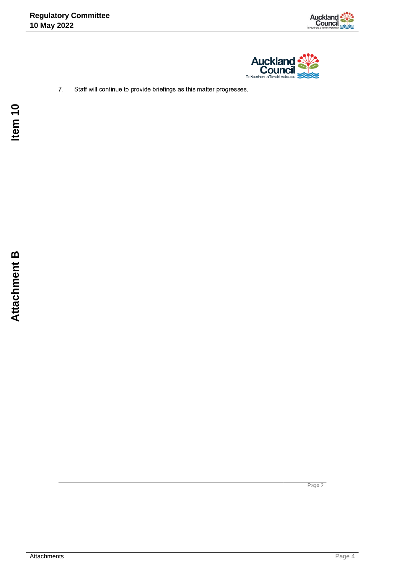



 $7.$ Staff will continue to provide briefings as this matter progresses.

Page 2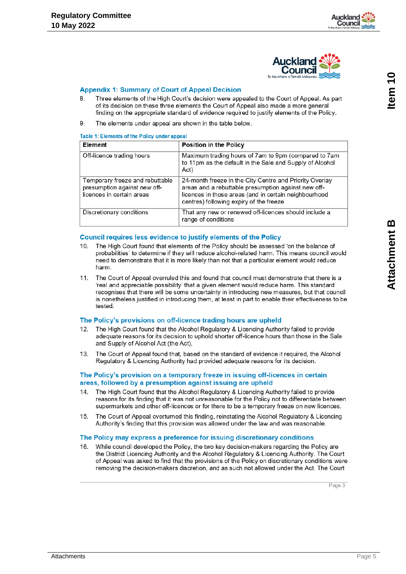

#### **Appendix 1: Summary of Court of Appeal Decision**

- Three elements of the High Court's decision were appealed to the Court of Appeal. As part 8 of its decision on these three elements the Court of Appeal also made a more general finding on the appropriate standard of evidence required to justify elements of the Policy.
- 9. The elements under appeal are shown in the table below.

#### Table 1: Elements of the Policy under appeal

| Element                                                                                      | <b>Position in the Policy</b>                                                                                                                                                                                      |  |
|----------------------------------------------------------------------------------------------|--------------------------------------------------------------------------------------------------------------------------------------------------------------------------------------------------------------------|--|
| Off-licence trading hours                                                                    | Maximum trading hours of 7am to 9pm (compared to 7am<br>to 11pm as the default in the Sale and Supply of Alcohol<br>Act)                                                                                           |  |
| Temporary freeze and rebuttable<br>presumption against new off-<br>licences in certain areas | 24-month freeze in the City Centre and Priority Overlay<br>areas and a rebuttable presumption against new off-<br>licences in those areas (and in certain neighbourhood<br>centres) following expiry of the freeze |  |
| Discretionary conditions                                                                     | That any new or renewed off-licences should include a<br>range of conditions                                                                                                                                       |  |

#### **Council requires less evidence to justify elements of the Policy**

- The High Court found that elements of the Policy should be assessed 'on the balance of  $10<sup>1</sup>$ probabilities' to determine if they will reduce alcohol-related harm. This means council would need to demonstrate that it is more likely than not that a particular element would reduce harm
- $11.$ The Court of Appeal overruled this and found that council must demonstrate that there is a 'real and appreciable possibility' that a given element would reduce harm. This standard recognises that there will be some uncertainty in introducing new measures, but that council is nonetheless justified in introducing them, at least in part to enable their effectiveness to be tested.

#### The Policy's provisions on off-licence trading hours are upheld

- The High Court found that the Alcohol Regulatory & Licencing Authority failed to provide adequate reasons for its decision to uphold shorter off-licence hours than those in the Sale and Supply of Alcohol Act (the Act).
- The Court of Appeal found that, based on the standard of evidence it required, the Alcohol  $13.$ Regulatory & Licencing Authority had provided adequate reasons for its decision.

#### The Policy's provision on a temporary freeze in issuing off-licences in certain areas, followed by a presumption against issuing are upheld

- The High Court found that the Alcohol Regulatory & Licencing Authority failed to provide 14. reasons for its finding that it was not unreasonable for the Policy not to differentiate between supermarkets and other off-licences or for there to be a temporary freeze on new licences.
- The Court of Appeal overturned this finding, reinstating the Alcohol Regulatory & Licencing  $15<sub>1</sub>$ Authority's finding that this provision was allowed under the law and was reasonable.

#### The Policy may express a preference for issuing discretionary conditions

16 While council developed the Policy, the two key decision-makers regarding the Policy are the District Licencing Authority and the Alcohol Regulatory & Licencing Authority. The Court of Appeal was asked to find that the provisions of the Policy on discretionary conditions were removing the decision-makers discretion, and as such not allowed under the Act. The Court

Page 3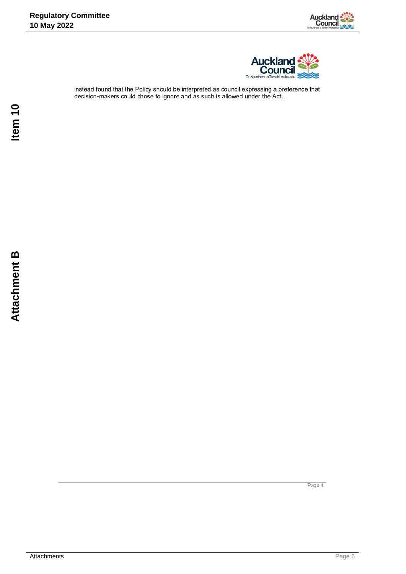



instead found that the Policy should be interpreted as council expressing a preference that decision-makers could chose to ignore and as such is allowed under the Act.

Page 4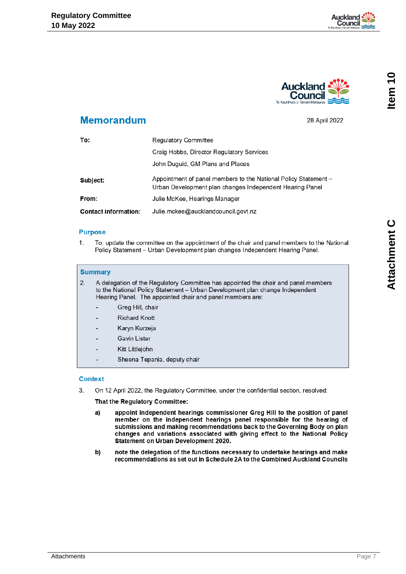



### <span id="page-6-0"></span>**Memorandum**

28 April 2022

| To:                         | <b>Regulatory Committee</b>                                                                                                 |  |
|-----------------------------|-----------------------------------------------------------------------------------------------------------------------------|--|
|                             | Craig Hobbs, Director Regulatory Services                                                                                   |  |
|                             | John Duguid, GM Plans and Places                                                                                            |  |
| Subject:                    | Appointment of panel members to the National Policy Statement –<br>Urban Development plan changes Independent Hearing Panel |  |
| From:                       | Julie McKee, Hearings Manager                                                                                               |  |
| <b>Contact information:</b> | Julie.mckee@aucklandcouncil.govt.nz                                                                                         |  |

#### **Purpose**

 $1.$ To: update the committee on the appointment of the chair and panel members to the National Policy Statement - Urban Development plan changes Independent Hearing Panel.

#### **Summary**

- $2.$ A delegation of the Regulatory Committee has appointed the chair and panel members to the National Policy Statement - Urban Development plan change Independent Hearing Panel. The appointed chair and panel members are:
	- Greg Hill, chair
	- **Richard Knott**
	- Karyn Kurzeja
	- **Gavin Lister**
	- Kitt Littlejohn
	- Sheena Tepania, deputy chair

#### **Context**

3. On 12 April 2022, the Regulatory Committee, under the confidential section, resolved:

#### That the Regulatory Committee:

- a) appoint independent hearings commissioner Greg Hill to the position of panel member on the independent hearings panel responsible for the hearing of submissions and making recommendations back to the Governing Body on plan changes and variations associated with giving effect to the National Policy Statement on Urban Development 2020.
- b) note the delegation of the functions necessary to undertake hearings and make recommendations as set out in Schedule 2A to the Combined Auckland Councils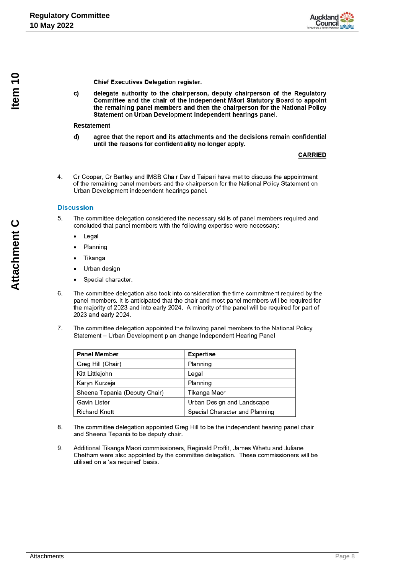

**Chief Executives Delegation register.** 

delegate authority to the chairperson, deputy chairperson of the Regulatory c) Committee and the chair of the Independent Maori Statutory Board to appoint the remaining panel members and then the chairperson for the National Policy Statement on Urban Development independent hearings panel.

#### **Restatement**

d) agree that the report and its attachments and the decisions remain confidential until the reasons for confidentiality no longer apply.

#### **CARRIED**

 $\overline{4}$ . Cr Cooper. Cr Bartley and IMSB Chair David Taipari have met to discuss the appointment of the remaining panel members and the chairperson for the National Policy Statement on Urban Development independent hearings panel.

#### **Discussion**

- The committee delegation considered the necessary skills of panel members required and 5 concluded that panel members with the following expertise were necessary:
	- Legal
	- Planning
	- Tikanga
	- Urban design
	- Special character.  $\bullet$
- 6. The committee delegation also took into consideration the time commitment required by the panel members. It is anticipated that the chair and most panel members will be required for the majority of 2023 and into early 2024. A minority of the panel will be required for part of 2023 and early 2024.
- 7. The committee delegation appointed the following panel members to the National Policy Statement - Urban Development plan change Independent Hearing Panel

| <b>Panel Member</b>           | <b>Expertise</b>               |
|-------------------------------|--------------------------------|
| Greg Hill (Chair)             | Planning                       |
| Kitt Littlejohn               | Legal                          |
| Karyn Kurzeja                 | Planning                       |
| Sheena Tepania (Deputy Chair) | Tikanga Maori                  |
| Gavin Lister                  | Urban Design and Landscape     |
| <b>Richard Knott</b>          | Special Character and Planning |

- 8. The committee delegation appointed Greg Hill to be the independent hearing panel chair and Sheena Tepania to be deputy chair.
- 9. Additional Tikanga Maori commissioners, Reginald Proffit, James Whetu and Juliane Chetham were also appointed by the committee delegation. These commissioners will be utilised on a 'as required' basis.